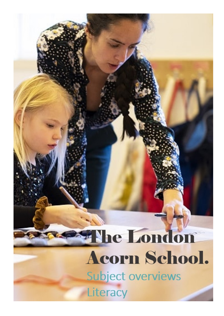## The London Acorn School. Subject overviews Literacy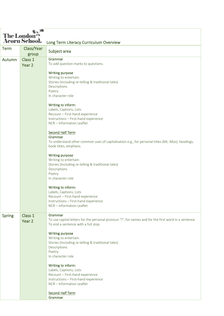| 火の焼<br><b>The London</b><br><b>Acorn School.</b> |            | Long Term Literacy Curriculum Overview                                                                                                      |
|--------------------------------------------------|------------|---------------------------------------------------------------------------------------------------------------------------------------------|
| <b>Term</b>                                      | Class/Year | Subject area                                                                                                                                |
|                                                  | group      |                                                                                                                                             |
| Autumn                                           | Class 1    | Grammar<br>To add question marks to questions.                                                                                              |
|                                                  | Year 2     | Writing purpose                                                                                                                             |
|                                                  |            | Writing to entertain:                                                                                                                       |
|                                                  |            | Stories (Including re-telling & traditional tales)                                                                                          |
|                                                  |            | Descriptions<br>Poetry                                                                                                                      |
|                                                  |            | In character role                                                                                                                           |
|                                                  |            | Writing to inform:                                                                                                                          |
|                                                  |            | Labels, Captions, Lists<br>Recount - First-hand experience                                                                                  |
|                                                  |            | Instructions - First-hand experience                                                                                                        |
|                                                  |            | NCR - Information Leaflet                                                                                                                   |
|                                                  |            | <b>Second Half Term</b>                                                                                                                     |
|                                                  |            | Grammar                                                                                                                                     |
|                                                  |            | To understand other common uses of capitalisation e.g., for personal titles (Mr, Miss), headings,<br>book titles, emphasis.                 |
|                                                  |            | <b>Writing purpose</b><br>Writing to entertain:                                                                                             |
|                                                  |            | Stories (Including re-telling & traditional tales)                                                                                          |
|                                                  |            | Descriptions                                                                                                                                |
|                                                  |            | Poetry<br>In character role                                                                                                                 |
|                                                  |            |                                                                                                                                             |
|                                                  |            | Writing to inform:<br>Labels, Captions, Lists                                                                                               |
|                                                  |            | Recount - First-hand experience                                                                                                             |
|                                                  |            | Instructions - First-hand experience                                                                                                        |
|                                                  |            | NCR - Information Leaflet                                                                                                                   |
| <b>Spring</b>                                    | Class 1    | Grammar                                                                                                                                     |
|                                                  | Year 2     | To use capital letters for the personal pronoun "I", for names and for the first word in a sentence.<br>To end a sentence with a full stop. |
|                                                  |            | Writing purpose                                                                                                                             |
|                                                  |            | Writing to entertain:                                                                                                                       |
|                                                  |            | Stories (Including re-telling & traditional tales)<br>Descriptions                                                                          |
|                                                  |            | Poetry                                                                                                                                      |
|                                                  |            | In character role                                                                                                                           |
|                                                  |            | Writing to inform:                                                                                                                          |
|                                                  |            | Labels, Captions, Lists                                                                                                                     |
|                                                  |            | Recount - First-hand experience<br>Instructions - First-hand experience                                                                     |
|                                                  |            | NCR - Information Leaflet                                                                                                                   |
|                                                  |            | <b>Second Half Term</b>                                                                                                                     |
|                                                  |            | Grammar                                                                                                                                     |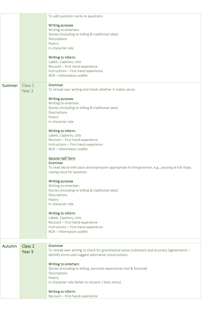|               |                    | To add question marks to questions.                                                                        |
|---------------|--------------------|------------------------------------------------------------------------------------------------------------|
|               |                    | <b>Writing purpose</b><br>Writing to entertain:                                                            |
|               |                    | Stories (Including re-telling & traditional tales)                                                         |
|               |                    | Descriptions<br>Poetry                                                                                     |
|               |                    | In character role                                                                                          |
|               |                    |                                                                                                            |
|               |                    | Writing to inform:<br>Labels, Captions, Lists                                                              |
|               |                    | Recount - First-hand experience                                                                            |
|               |                    | Instructions - First-hand experience<br>NCR - Information Leaflet                                          |
|               |                    |                                                                                                            |
| <b>Summer</b> | Class 1            | Grammar<br>To reread own writing and check whether it makes sense.                                         |
|               | Year 2             |                                                                                                            |
|               |                    | <b>Writing purpose</b>                                                                                     |
|               |                    | Writing to entertain:<br>Stories (Including re-telling & traditional tales)                                |
|               |                    | Descriptions                                                                                               |
|               |                    | Poetry<br>In character role                                                                                |
|               |                    |                                                                                                            |
|               |                    | Writing to inform:<br>Labels, Captions, Lists                                                              |
|               |                    | Recount - First-hand experience                                                                            |
|               |                    | Instructions - First-hand experience                                                                       |
|               |                    | NCR-Information Leaflet                                                                                    |
|               |                    | <b>Second Half Term</b>                                                                                    |
|               |                    | Grammar<br>To read aloud with pace and expression appropriate to the grammar, e.g., pausing at full stops, |
|               |                    | raising voice for question.                                                                                |
|               |                    | <b>Writing purpose</b>                                                                                     |
|               |                    | Writing to entertain:                                                                                      |
|               |                    | Stories (Including re-telling & traditional tales)                                                         |
|               |                    | Descriptions<br>Poetry                                                                                     |
|               |                    | In character role                                                                                          |
|               |                    | Writing to inform:                                                                                         |
|               |                    | Labels, Captions, Lists                                                                                    |
|               |                    | Recount - First-hand experience                                                                            |
|               |                    | Instructions - First-hand experience<br>NCR - Information Leaflet                                          |
|               |                    |                                                                                                            |
| Autumn        | Class <sub>2</sub> | Grammar                                                                                                    |
|               | Year <sub>3</sub>  | To reread own writing to check for grammatical sense (cohesion) and accuracy (agreement) -                 |
|               |                    | identify errors and suggest alternative constructions.                                                     |
|               |                    | Writing to entertain:                                                                                      |
|               |                    | Stories (Including re-telling, personal experiences real & fictional)                                      |
|               |                    | Descriptions<br>Poetry                                                                                     |
|               |                    | In character role (letter to recount / dairy entry)                                                        |
|               |                    | Writing to inform:                                                                                         |
|               |                    | Recount - First-hand experience                                                                            |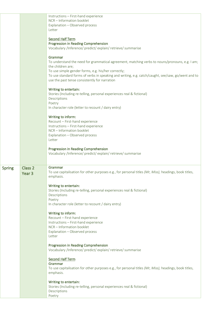|               |                                         | Instructions - First-hand experience<br>NCR-Information booklet<br>Explanation - Observed process<br>Letter                                                                                                                                                                                                                                  |
|---------------|-----------------------------------------|----------------------------------------------------------------------------------------------------------------------------------------------------------------------------------------------------------------------------------------------------------------------------------------------------------------------------------------------|
|               |                                         | <b>Second Half Term</b><br>Progression in Reading Comprehension<br>Vocabulary /Inference/ predict/ explain/ retrieve/ summarise                                                                                                                                                                                                              |
|               |                                         | Grammar<br>To understand the need for grammatical agreement, matching verbs to nouns/pronouns, e.g. I am;<br>the children are;<br>To use simple gender forms, e.g. his/her correctly;<br>To use standard forms of verbs in speaking and writing, e.g. catch/caught, see/saw, go/went and to<br>use the past tense consistently for narration |
|               |                                         | Writing to entertain:<br>Stories (Including re-telling, personal experiences real & fictional)<br>Descriptions<br>Poetry<br>In character role (letter to recount / dairy entry)                                                                                                                                                              |
|               |                                         | Writing to inform:<br>Recount - First-hand experience<br>Instructions - First-hand experience<br>NCR-Information booklet<br>Explanation - Observed process                                                                                                                                                                                   |
|               |                                         | Letter<br>Progression in Reading Comprehension<br>Vocabulary /Inference/ predict/ explain/ retrieve/ summarise                                                                                                                                                                                                                               |
| <b>Spring</b> | Class <sub>2</sub><br>Year <sub>3</sub> | Grammar<br>To use capitalisation for other purposes e.g., for personal titles (Mr, Miss), headings, book titles,<br>emphasis.                                                                                                                                                                                                                |
|               |                                         | Writing to entertain:<br>Stories (Including re-telling, personal experiences real & fictional)<br>Descriptions<br>Poetry<br>In character role (letter to recount / dairy entry)                                                                                                                                                              |
|               |                                         | Writing to inform:<br>Recount - First-hand experience<br>Instructions - First-hand experience<br>NCR-Information booklet<br>Explanation - Observed process<br>Letter                                                                                                                                                                         |
|               |                                         | Progression in Reading Comprehension<br>Vocabulary /Inference/ predict/ explain/ retrieve/ summarise                                                                                                                                                                                                                                         |
|               |                                         | <b>Second Half Term</b><br>Grammar<br>To use capitalisation for other purposes e.g., for personal titles (Mr, Miss), headings, book titles,<br>emphasis.                                                                                                                                                                                     |
|               |                                         | Writing to entertain:<br>Stories (Including re-telling, personal experiences real & fictional)<br>Descriptions<br>Poetry                                                                                                                                                                                                                     |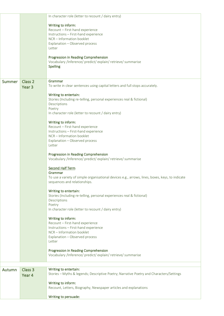|        |                   | In character role (letter to recount / dairy entry)                                                  |
|--------|-------------------|------------------------------------------------------------------------------------------------------|
|        |                   |                                                                                                      |
|        |                   | Writing to inform:                                                                                   |
|        |                   | Recount - First-hand experience<br>Instructions - First-hand experience                              |
|        |                   | NCR-Information booklet                                                                              |
|        |                   | Explanation - Observed process                                                                       |
|        |                   | Letter                                                                                               |
|        |                   |                                                                                                      |
|        |                   | Progression in Reading Comprehension                                                                 |
|        |                   | Vocabulary /Inference/ predict/ explain/ retrieve/ summarise                                         |
|        |                   | <b>Spelling</b>                                                                                      |
|        |                   |                                                                                                      |
|        |                   | Grammar                                                                                              |
| Summer | Class 2           | To write in clear sentences using capital letters and full stops accurately.                         |
|        | Year <sub>3</sub> |                                                                                                      |
|        |                   | Writing to entertain:                                                                                |
|        |                   | Stories (Including re-telling, personal experiences real & fictional)                                |
|        |                   | Descriptions                                                                                         |
|        |                   | Poetry                                                                                               |
|        |                   | In character role (letter to recount / dairy entry)                                                  |
|        |                   |                                                                                                      |
|        |                   | Writing to inform:<br>Recount - First-hand experience                                                |
|        |                   | Instructions - First-hand experience                                                                 |
|        |                   | NCR - Information booklet                                                                            |
|        |                   | Explanation - Observed process                                                                       |
|        |                   | Letter                                                                                               |
|        |                   |                                                                                                      |
|        |                   | Progression in Reading Comprehension                                                                 |
|        |                   | Vocabulary /Inference/ predict/ explain/ retrieve/ summarise                                         |
|        |                   | <b>Second Half Term</b>                                                                              |
|        |                   | Grammar                                                                                              |
|        |                   | To use a variety of simple organisational devices e.g., arrows, lines, boxes, keys, to indicate      |
|        |                   | sequences and relationships.                                                                         |
|        |                   |                                                                                                      |
|        |                   | Writing to entertain:                                                                                |
|        |                   | Stories (Including re-telling, personal experiences real & fictional)                                |
|        |                   | Descriptions                                                                                         |
|        |                   | Poetry<br>In character role (letter to recount / dairy entry)                                        |
|        |                   |                                                                                                      |
|        |                   | Writing to inform:                                                                                   |
|        |                   | Recount - First-hand experience                                                                      |
|        |                   | Instructions - First-hand experience                                                                 |
|        |                   | NCR-Information booklet                                                                              |
|        |                   | Explanation - Observed process                                                                       |
|        |                   | Letter                                                                                               |
|        |                   |                                                                                                      |
|        |                   | Progression in Reading Comprehension<br>Vocabulary /Inference/ predict/ explain/ retrieve/ summarise |
|        |                   |                                                                                                      |
|        |                   |                                                                                                      |
| Autumn | Class 3           | Writing to entertain:                                                                                |
|        | Year 4            | Stories - Myths & legends; Descriptive Poetry; Narrative Poetry and Characters/Settings              |
|        |                   |                                                                                                      |
|        |                   | Writing to inform:                                                                                   |
|        |                   | Recount, Letters, Biography, Newspaper articles and explanations                                     |
|        |                   |                                                                                                      |
|        |                   | Writing to persuade:                                                                                 |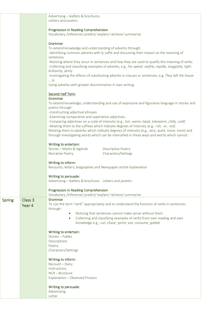|               |                    | Advertising - leaflets & brochures<br>Letters and posters                                                                                                                                                                     |
|---------------|--------------------|-------------------------------------------------------------------------------------------------------------------------------------------------------------------------------------------------------------------------------|
|               |                    | Progression in Reading Comprehension<br>Vocabulary /Inference/ predict/ explain/ retrieve/ summarise                                                                                                                          |
|               |                    |                                                                                                                                                                                                                               |
|               |                    | Grammar<br>To extend knowledge and understanding of adverbs through:                                                                                                                                                          |
|               |                    | -Identifying common adverbs with /y suffix and discussing their impact on the meaning of<br>sentences                                                                                                                         |
|               |                    | -Noticing where they occur in sentences and how they are used to qualify the meaning of verbs<br>-Collecting and classifying examples of adverbs, e.g., for speed: swiftly, rapidly, sluggishly; light:<br>brilliantly, dimly |
|               |                    | -Investigating the effects of substituting adverbs in clauses or sentences, e.g. They left the house<br>$$ ly                                                                                                                 |
|               |                    | Using adverbs with greater discrimination in own writing.                                                                                                                                                                     |
|               |                    | <b>Second Half Term</b>                                                                                                                                                                                                       |
|               |                    | Grammar<br>To extend knowledge, understanding and use of expressive and figurative language in stories and                                                                                                                    |
|               |                    | poetry through:                                                                                                                                                                                                               |
|               |                    | -Constructing adjectival phrases<br>-Examining comparative and superlative adjectives                                                                                                                                         |
|               |                    | -Comparing adjectives on a scale of intensity (e.g., hot, warm, tepid, lukewarm, chilly, cold)                                                                                                                                |
|               |                    | -Relating them to the suffixes which indicate degrees of intensity (e.g. -ish, -er, -est)<br>Relating them to adverbs which indicate degrees of intensity (e.g., very, quite, more, most) and                                 |
|               |                    | through investigating words which can be intensified in these ways and words which cannot.                                                                                                                                    |
|               |                    | Writing to entertain:                                                                                                                                                                                                         |
|               |                    | Stories - Myths & legends<br><b>Descriptive Poetry</b><br>Characters/Settings<br>Narrative Poetry                                                                                                                             |
|               |                    |                                                                                                                                                                                                                               |
|               |                    | Writing to inform:<br>Recounts; letters; biographies and Newspaper article Explanation                                                                                                                                        |
|               |                    | Writing to persuade:                                                                                                                                                                                                          |
|               |                    | Advertising - leaflets & brochures Letters and posters                                                                                                                                                                        |
|               |                    | Progression in Reading Comprehension<br>Vocabulary /Inference/ predict/ explain/ retrieve/ summarise                                                                                                                          |
| <b>Spring</b> | Class <sub>3</sub> | Grammar                                                                                                                                                                                                                       |
|               | Year 4             | To use the term "verb" appropriately and to understand the function of verbs in sentences<br>through:                                                                                                                         |
|               |                    | Noticing that sentences cannot make sense without them                                                                                                                                                                        |
|               |                    | Collecting and classifying examples of verbs from own reading and own                                                                                                                                                         |
|               |                    | knowledge e.g., run, chase, sprint; eat, consume, gobble                                                                                                                                                                      |
|               |                    | Writing to entertain:                                                                                                                                                                                                         |
|               |                    | Stories - Fables<br>Descriptions                                                                                                                                                                                              |
|               |                    | Poetry                                                                                                                                                                                                                        |
|               |                    | Characters/Settings                                                                                                                                                                                                           |
|               |                    | Writing to inform:                                                                                                                                                                                                            |
|               |                    | Recount - Dairy<br>Instructions                                                                                                                                                                                               |
|               |                    | NCR - Brochure                                                                                                                                                                                                                |
|               |                    | Explanation - Observed Process                                                                                                                                                                                                |
|               |                    | Writing to persuade:                                                                                                                                                                                                          |
|               |                    | Advertising                                                                                                                                                                                                                   |
|               |                    | Letter                                                                                                                                                                                                                        |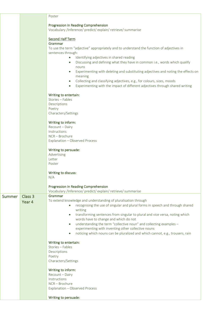|               |         | Poster                                                                                                                                                                           |
|---------------|---------|----------------------------------------------------------------------------------------------------------------------------------------------------------------------------------|
|               |         | Progression in Reading Comprehension                                                                                                                                             |
|               |         | Vocabulary /Inference/ predict/ explain/ retrieve/ summarise                                                                                                                     |
|               |         |                                                                                                                                                                                  |
|               |         | <b>Second Half Term</b><br>Grammar                                                                                                                                               |
|               |         | To use the term "adjective" appropriately and to understand the function of adjectives in                                                                                        |
|               |         | sentences through:                                                                                                                                                               |
|               |         | Identifying adjectives in shared reading<br>$\bullet$<br>Discussing and defining what they have in common i.e., words which qualify<br>$\bullet$                                 |
|               |         | nouns                                                                                                                                                                            |
|               |         | Experimenting with deleting and substituting adjectives and noting the effects on<br>$\bullet$                                                                                   |
|               |         | meaning                                                                                                                                                                          |
|               |         | Collecting and classifying adjectives, e.g., for colours, sizes, moods<br>$\bullet$<br>Experimenting with the impact of different adjectives through shared writing<br>$\bullet$ |
|               |         |                                                                                                                                                                                  |
|               |         | Writing to entertain:                                                                                                                                                            |
|               |         | Stories - Fables                                                                                                                                                                 |
|               |         | Descriptions<br>Poetry                                                                                                                                                           |
|               |         | Characters/Settings                                                                                                                                                              |
|               |         |                                                                                                                                                                                  |
|               |         | Writing to inform:<br>Recount - Dairy                                                                                                                                            |
|               |         | Instructions                                                                                                                                                                     |
|               |         | NCR-Brochure                                                                                                                                                                     |
|               |         | Explanation - Observed Process                                                                                                                                                   |
|               |         | Writing to persuade:                                                                                                                                                             |
|               |         | Advertising                                                                                                                                                                      |
|               |         | Letter                                                                                                                                                                           |
|               |         | Poster                                                                                                                                                                           |
|               |         | Writing to discuss:                                                                                                                                                              |
|               |         | N/A                                                                                                                                                                              |
|               |         | Progression in Reading Comprehension                                                                                                                                             |
|               |         | Vocabulary /Inference/ predict/ explain/ retrieve/ summarise                                                                                                                     |
| <b>Summer</b> | Class 3 | Grammar                                                                                                                                                                          |
|               | Year 4  | To extend knowledge and understanding of pluralisation through<br>recognising the use of singular and plural forms in speech and through shared                                  |
|               |         | writing                                                                                                                                                                          |
|               |         | transforming sentences from singular to plural and vice versa, noting which                                                                                                      |
|               |         | words have to change and which do not                                                                                                                                            |
|               |         | understanding the term "collective noun" and collecting examples -<br>$\bullet$<br>experimenting with inventing other collective nouns                                           |
|               |         | noticing which nouns can be pluralized and which cannot, e.g., trousers, rain<br>$\bullet$                                                                                       |
|               |         |                                                                                                                                                                                  |
|               |         | Writing to entertain:<br>Stories - Fables                                                                                                                                        |
|               |         | Descriptions                                                                                                                                                                     |
|               |         | Poetry                                                                                                                                                                           |
|               |         | Characters/Settings                                                                                                                                                              |
|               |         | Writing to inform:                                                                                                                                                               |
|               |         | Recount - Dairy                                                                                                                                                                  |
|               |         | Instructions                                                                                                                                                                     |
|               |         | NCR-Brochure<br>Explanation - Observed Process                                                                                                                                   |
|               |         |                                                                                                                                                                                  |
|               |         | Writing to persuade:                                                                                                                                                             |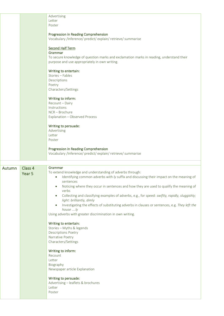|        |                              | Advertising<br>Letter<br>Poster                                                                                                                                                                                                                                                     |
|--------|------------------------------|-------------------------------------------------------------------------------------------------------------------------------------------------------------------------------------------------------------------------------------------------------------------------------------|
|        |                              | Progression in Reading Comprehension<br>Vocabulary /Inference/ predict/ explain/ retrieve/ summarise                                                                                                                                                                                |
|        |                              | <b>Second Half Term</b><br>Grammar<br>To secure knowledge of question marks and exclamation marks in reading, understand their                                                                                                                                                      |
|        |                              | purpose and use appropriately in own writing.<br>Writing to entertain:                                                                                                                                                                                                              |
|        |                              | Stories - Fables<br>Descriptions<br>Poetry<br>Characters/Settings                                                                                                                                                                                                                   |
|        |                              | Writing to inform:<br>Recount - Dairy<br>Instructions                                                                                                                                                                                                                               |
|        |                              | NCR-Brochure<br>Explanation - Observed Process                                                                                                                                                                                                                                      |
|        |                              | Writing to persuade:<br>Advertising<br>Letter<br>Poster                                                                                                                                                                                                                             |
|        |                              | Progression in Reading Comprehension<br>Vocabulary /Inference/ predict/ explain/ retrieve/ summarise                                                                                                                                                                                |
|        |                              |                                                                                                                                                                                                                                                                                     |
| Autumn | Class 4<br>Year <sub>5</sub> | Grammar<br>To extend knowledge and understanding of adverbs through:<br>Identifying common adverbs with ly suffix and discussing their impact on the meaning of<br>$\bullet$<br>sentences<br>Noticing where they occur in sentences and how they are used to qualify the meaning of |
|        |                              | verbs<br>Collecting and classifying examples of adverbs, e.g., for speed: swiftly, rapidly, sluggishly;<br>light: brilliantly, dimly                                                                                                                                                |
|        |                              | Investigating the effects of substituting adverbs in clauses or sentences, e.g. They left the<br>house ly<br>Using adverbs with greater discrimination in own writing.                                                                                                              |
|        |                              | Writing to entertain:<br>Stories - Myths & legends<br><b>Descriptions Poetry</b><br>Narrative Poetry                                                                                                                                                                                |
|        |                              | Characters/Settings<br>Writing to inform:                                                                                                                                                                                                                                           |
|        |                              | Recount<br>Letter<br>Biography                                                                                                                                                                                                                                                      |
|        |                              | Newspaper article Explanation<br>Writing to persuade:                                                                                                                                                                                                                               |
|        |                              | Advertising - leaflets & brochures<br>Letter<br>Poster                                                                                                                                                                                                                              |
|        |                              |                                                                                                                                                                                                                                                                                     |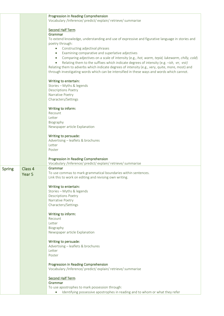|               |                   | Progression in Reading Comprehension                                                                                                                                                                                                                                                                    |
|---------------|-------------------|---------------------------------------------------------------------------------------------------------------------------------------------------------------------------------------------------------------------------------------------------------------------------------------------------------|
|               |                   | Vocabulary /Inference/ predict/ explain/ retrieve/ summarise                                                                                                                                                                                                                                            |
|               |                   | <b>Second Half Term</b><br>Grammar                                                                                                                                                                                                                                                                      |
|               |                   | To extend knowledge, understanding and use of expressive and figurative language in stories and                                                                                                                                                                                                         |
|               |                   | poetry through:<br>Constructing adjectival phrases<br>$\bullet$                                                                                                                                                                                                                                         |
|               |                   | Examining comparative and superlative adjectives<br>$\bullet$                                                                                                                                                                                                                                           |
|               |                   | Comparing adjectives on a scale of intensity (e.g., hot, warm, tepid, lukewarm, chilly, cold)<br>$\bullet$                                                                                                                                                                                              |
|               |                   | Relating them to the suffixes which indicate degrees of intensity (e.g. -ish, -er, -est)<br>$\bullet$<br>Relating them to adverbs which indicate degrees of intensity (e.g., very, quite, more, most) and<br>through investigating words which can be intensified in these ways and words which cannot. |
|               |                   | Writing to entertain:                                                                                                                                                                                                                                                                                   |
|               |                   | Stories - Myths & legends<br><b>Descriptions Poetry</b>                                                                                                                                                                                                                                                 |
|               |                   | Narrative Poetry                                                                                                                                                                                                                                                                                        |
|               |                   | Characters/Settings                                                                                                                                                                                                                                                                                     |
|               |                   | Writing to inform:                                                                                                                                                                                                                                                                                      |
|               |                   | Recount<br>Letter                                                                                                                                                                                                                                                                                       |
|               |                   | Biography                                                                                                                                                                                                                                                                                               |
|               |                   | Newspaper article Explanation                                                                                                                                                                                                                                                                           |
|               |                   | Writing to persuade:                                                                                                                                                                                                                                                                                    |
|               |                   | Advertising - leaflets & brochures                                                                                                                                                                                                                                                                      |
|               |                   | Letter<br>Poster                                                                                                                                                                                                                                                                                        |
|               |                   |                                                                                                                                                                                                                                                                                                         |
|               |                   | Progression in Reading Comprehension<br>Vocabulary /Inference/ predict/ explain/ retrieve/ summarise                                                                                                                                                                                                    |
| <b>Spring</b> | Class 4           | Grammar                                                                                                                                                                                                                                                                                                 |
|               | Year <sub>5</sub> | To use commas to mark grammatical boundaries within sentences.<br>Link this to work on editing and revising own writing.                                                                                                                                                                                |
|               |                   |                                                                                                                                                                                                                                                                                                         |
|               |                   | Writing to entertain:<br>Stories - Myths & legends                                                                                                                                                                                                                                                      |
|               |                   | <b>Descriptions Poetry</b>                                                                                                                                                                                                                                                                              |
|               |                   | Narrative Poetry<br>Characters/Settings                                                                                                                                                                                                                                                                 |
|               |                   |                                                                                                                                                                                                                                                                                                         |
|               |                   | Writing to inform:                                                                                                                                                                                                                                                                                      |
|               |                   | Recount<br>Letter                                                                                                                                                                                                                                                                                       |
|               |                   | Biography                                                                                                                                                                                                                                                                                               |
|               |                   | Newspaper article Explanation                                                                                                                                                                                                                                                                           |
|               |                   | Writing to persuade:                                                                                                                                                                                                                                                                                    |
|               |                   | Advertising - leaflets & brochures<br>Letter                                                                                                                                                                                                                                                            |
|               |                   | Poster                                                                                                                                                                                                                                                                                                  |
|               |                   | Progression in Reading Comprehension<br>Vocabulary /Inference/ predict/ explain/ retrieve/ summarise                                                                                                                                                                                                    |
|               |                   | <b>Second Half Term</b>                                                                                                                                                                                                                                                                                 |
|               |                   | Grammar                                                                                                                                                                                                                                                                                                 |
|               |                   | To use apostrophes to mark possession through:<br>Identifying possessive apostrophes in reading and to whom or what they refer<br>$\bullet$                                                                                                                                                             |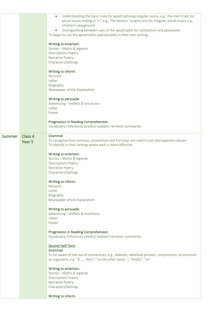|               |                              | Understanding the basic rules for apostrophising singular nouns, e.g., the man's hat; for<br>plural nouns ending in "s", e.g., The doctors' surgery and for irregular plural nouns e.g.,<br>children's playground<br>Distinguishing between uses of the apostrophe for contraction and possession<br>To begin to use the apostrophe appropriately in their own writing.<br>Writing to entertain:<br>Stories - Myths & legends<br><b>Descriptions Poetry</b><br>Narrative Poetry<br>Characters/Settings<br>Writing to inform:<br>Recount<br>Letter<br>Biography<br>Newspaper article Explanation<br>Writing to persuade:<br>Advertising - leaflets & brochures<br>Letter<br>Poster<br>Progression in Reading Comprehension |
|---------------|------------------------------|---------------------------------------------------------------------------------------------------------------------------------------------------------------------------------------------------------------------------------------------------------------------------------------------------------------------------------------------------------------------------------------------------------------------------------------------------------------------------------------------------------------------------------------------------------------------------------------------------------------------------------------------------------------------------------------------------------------------------|
|               |                              | Vocabulary /Inference/ predict/ explain/ retrieve/ summarise                                                                                                                                                                                                                                                                                                                                                                                                                                                                                                                                                                                                                                                              |
| <b>Summer</b> | Class 4<br>Year <sub>5</sub> | Grammar<br>To recognise how commas, connectives and full stops are used to join and separate clauses.<br>To identify in their writing where each is more effective.<br>Writing to entertain:<br>Stories - Myths & legends<br><b>Descriptions Poetry</b><br>Narrative Poetry<br>Characters/Settings<br>Writing to inform:<br>Recount<br>Letter<br>Biography<br>Newspaper article Explanation<br>Writing to persuade:<br>Advertising - leaflets & brochures<br>Letter<br>Poster                                                                                                                                                                                                                                             |
|               |                              | Progression in Reading Comprehension<br>Vocabulary /Inference/ predict/ explain/ retrieve/ summarise<br><b>Second Half Term</b><br>Grammar<br>To be aware of the use of connectives, e.g., Adverbs, adverbial phrases, conjunctions, to structure<br>an argument, e.g. "If , then", "on the other hand", "finally", "so".<br>Writing to entertain:<br>Stories - Myths & legends<br><b>Descriptions Poetry</b><br>Narrative Poetry<br>Characters/Settings<br>Writing to inform:                                                                                                                                                                                                                                            |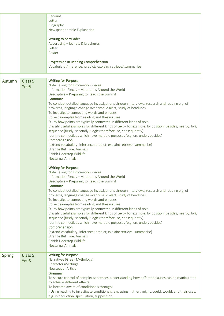|               |                    | Recount<br>Letter                                                                                                                                                             |
|---------------|--------------------|-------------------------------------------------------------------------------------------------------------------------------------------------------------------------------|
|               |                    | Biography                                                                                                                                                                     |
|               |                    | Newspaper article Explanation                                                                                                                                                 |
|               |                    | Writing to persuade:                                                                                                                                                          |
|               |                    | Advertising - leaflets & brochures                                                                                                                                            |
|               |                    | Letter                                                                                                                                                                        |
|               |                    | Poster                                                                                                                                                                        |
|               |                    | Progression in Reading Comprehension                                                                                                                                          |
|               |                    | Vocabulary /Inference/ predict/ explain/ retrieve/ summarise                                                                                                                  |
|               |                    |                                                                                                                                                                               |
| Autumn        | Class <sub>5</sub> | <b>Writing for Purpose</b><br>Note Taking for Information Pieces                                                                                                              |
|               | Yrs <sub>6</sub>   | Information Pieces - Mountains Around the World                                                                                                                               |
|               |                    | Descriptive - Preparing to Reach the Summit                                                                                                                                   |
|               |                    | Grammar                                                                                                                                                                       |
|               |                    | To conduct detailed language investigations through interviews, research and reading e.g. of                                                                                  |
|               |                    | proverbs, language change over time, dialect, study of headlines                                                                                                              |
|               |                    | To investigate connecting words and phrases:                                                                                                                                  |
|               |                    | Collect examples from reading and thesauruses<br>Study how points are typically connected in different kinds of text                                                          |
|               |                    | Classify useful examples for different kinds of text - for example, by position (besides, nearby, by);                                                                        |
|               |                    | sequence (firstly, secondly); logic (therefore, so, consequently)                                                                                                             |
|               |                    | Identify connectives which have multiple purposes (e.g. on, under, besides)                                                                                                   |
|               |                    | Comprehension                                                                                                                                                                 |
|               |                    | (extend vocabulary; inference; predict; explain; retrieve; summarise)                                                                                                         |
|               |                    | <b>Strange But True: Animals</b>                                                                                                                                              |
|               |                    | British Doorstep Wildlife<br>Nocturnal Animals                                                                                                                                |
|               |                    |                                                                                                                                                                               |
|               |                    | <b>Writing for Purpose</b>                                                                                                                                                    |
|               |                    | Note Taking for Information Pieces<br>Information Pieces - Mountains Around the World                                                                                         |
|               |                    | Descriptive - Preparing to Reach the Summit                                                                                                                                   |
|               |                    | Grammar                                                                                                                                                                       |
|               |                    | To conduct detailed language investigations through interviews, research and reading e.g. of                                                                                  |
|               |                    | proverbs, language change over time, dialect, study of headlines                                                                                                              |
|               |                    | To investigate connecting words and phrases:                                                                                                                                  |
|               |                    | Collect examples from reading and thesauruses                                                                                                                                 |
|               |                    | Study how points are typically connected in different kinds of text<br>Classify useful examples for different kinds of text - for example, by position (besides, nearby, by); |
|               |                    | sequence (firstly, secondly); logic (therefore, so, consequently)                                                                                                             |
|               |                    | Identify connectives which have multiple purposes (e.g. on, under, besides)                                                                                                   |
|               |                    | Comprehension                                                                                                                                                                 |
|               |                    | (extend vocabulary; inference; predict; explain; retrieve; summarise)                                                                                                         |
|               |                    | <b>Strange But True: Animals</b>                                                                                                                                              |
|               |                    | British Doorstep Wildlife                                                                                                                                                     |
|               |                    | Nocturnal Animals                                                                                                                                                             |
| <b>Spring</b> | Class 5            | <b>Writing for Purpose</b>                                                                                                                                                    |
|               | Yrs <sub>6</sub>   | Narratives (Greek Mythology)                                                                                                                                                  |
|               |                    | Characters/Settings                                                                                                                                                           |
|               |                    | Newspaper Article<br>Grammar                                                                                                                                                  |
|               |                    | To secure control of complex sentences, understanding how different clauses can be manipulated                                                                                |
|               |                    | to achieve different effects                                                                                                                                                  |
|               |                    | To become aware of conditionals through:                                                                                                                                      |
|               |                    | - Using reading to investigate conditionals, e.g. using ifthen, might, could, would, and their uses,                                                                          |
|               |                    | e.g. in deduction, speculation, supposition                                                                                                                                   |
|               |                    |                                                                                                                                                                               |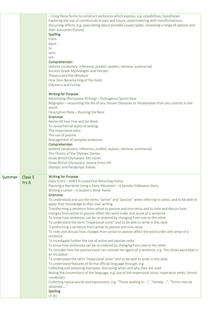|               |                                        | - Using these forms to construct sentences which express, e.g. possibilities, hypotheses<br>Exploring the use of conditionals in past and future, experimenting with transformations,<br>discussing effects, e.g. speculating about possible causes (past), reviewing a range of options and<br>their outcomes (future)<br><b>Spelling</b><br>trans-<br>aqua-<br>$bi-$<br>aero-<br>oct-<br>Comprehension<br>(extend vocabulary; inference; predict; explain; retrieve; summarise)<br>Ancient Greek Mythologies and Heroes:<br>Theseus and the Minotaur<br>How Zeus Became King of the Gods<br>Odysseus and Cyclop<br><b>Writing for Purpose</b><br>Advertising (Persuasive Writing) - Outrageous Sports Gear<br>Biography - recounting the life of any chosen Olympian or Paralympian from any country in the<br>world<br>Descriptive Piece - Running the Race<br>Grammar<br>Revise All Year Five and Six Work<br>To revise formal styles of writing:<br>The impersonal voice<br>The use of passive<br>Management of complex sentences<br>Comprehension<br>(extend vocabulary; inference; predict; explain; retrieve; summarise)<br>The History of the Olympic Games<br>Great British Olympians: Mo Farah<br>Great British Olympians: Jessica Ennis-Hill<br>Olympic and Paralympic Values                                                                                                                                                                                                                                                                                                                                                           |
|---------------|----------------------------------------|-----------------------------------------------------------------------------------------------------------------------------------------------------------------------------------------------------------------------------------------------------------------------------------------------------------------------------------------------------------------------------------------------------------------------------------------------------------------------------------------------------------------------------------------------------------------------------------------------------------------------------------------------------------------------------------------------------------------------------------------------------------------------------------------------------------------------------------------------------------------------------------------------------------------------------------------------------------------------------------------------------------------------------------------------------------------------------------------------------------------------------------------------------------------------------------------------------------------------------------------------------------------------------------------------------------------------------------------------------------------------------------------------------------------------------------------------------------------------------------------------------------------------------------------------------------------------------------------------------------------------------------------------------|
| <b>Summer</b> | Class <sub>5</sub><br>Yrs <sub>6</sub> | <b>Writing for Purpose</b><br>Diary Entry - WW1 A Loved One Returning Home<br>Planning a Narrative Using a Story Mountain - A Spooky Halloween Story<br>Writing a Letter - A Soldier's letter home<br>Grammar<br>To understand and use the terms "active" and "passive" when referring to verbs, and to be able to<br>apply their knowledge in their own writing<br>Transforming a sentence from active to passive and vice-versa and to note and discuss how<br>changes from active to passive affect the word order and sense of a sentence<br>To know how sentences can be re-ordered by changing from one to the other<br>To understand the term "impersonal voice" and to be able to write in this style<br>Transforming a sentence from active to passive and vice-versa<br>To note and discuss how changes from active to passive affect the word order and sense of a<br>sentence<br>To investigate further the use of active and passive verbs<br>To know how sentences can be re-ordered by changing from one to the other<br>To consider how the passive voice can conceal the agent of a sentence, e.g. The chicks were kept in<br>an incubator<br>To understand the term "impersonal voice" and to be able to write in this style<br>To understand features of formal official language through, e.g.<br>Collecting and analysing examples, discussing when and why they are used<br>Noting the conventions of the language, e.g. use of the impersonal voice, imperative verbs, formal<br>vocabulary<br>Collecting typical words and expressions, e.g. "Those wishing to ", "hereby ", "forms may be<br>obtained "<br><b>Spelling</b> |
|               |                                        | ch(k)                                                                                                                                                                                                                                                                                                                                                                                                                                                                                                                                                                                                                                                                                                                                                                                                                                                                                                                                                                                                                                                                                                                                                                                                                                                                                                                                                                                                                                                                                                                                                                                                                                               |